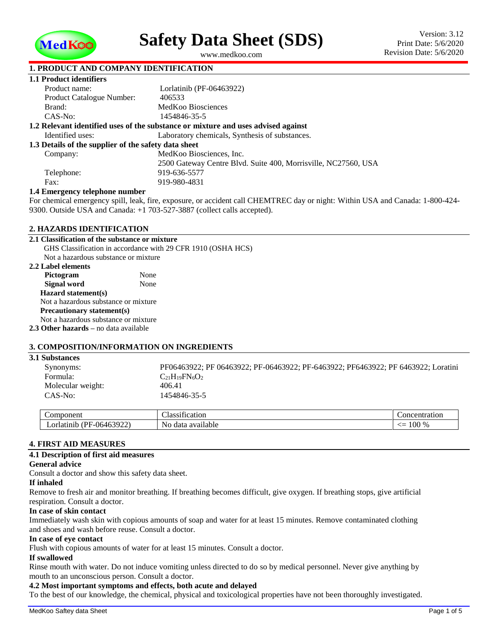

<span id="page-0-1"></span>**Safety Data Sheet (SDS)**

<span id="page-0-0"></span>www.medkoo.com

# **1. PRODUCT AND COMPANY IDENTIFICATION**

| 1.1 Product identifiers                              |                                                                                   |
|------------------------------------------------------|-----------------------------------------------------------------------------------|
| Product name:                                        | Lorlatinib (PF-06463922)                                                          |
| Product Catalogue Number:                            | 406533                                                                            |
| Brand:                                               | MedKoo Biosciences                                                                |
| $CAS-No:$                                            | 1454846-35-5                                                                      |
|                                                      | 1.2 Relevant identified uses of the substance or mixture and uses advised against |
| Identified uses:                                     | Laboratory chemicals, Synthesis of substances.                                    |
| 1.3 Details of the supplier of the safety data sheet |                                                                                   |
| Company:                                             | MedKoo Biosciences, Inc.                                                          |
|                                                      | 2500 Gateway Centre Blyd. Suite 400, Morrisville, NC27560, USA                    |
| Telephone:                                           | 919-636-5577                                                                      |
| Fax:                                                 | 919-980-4831                                                                      |
| 1.4 Emergency telephone number                       |                                                                                   |

### **1.4 Emergency telephone number**

For chemical emergency spill, leak, fire, exposure, or accident call CHEMTREC day or night: Within USA and Canada: 1-800-424- 9300. Outside USA and Canada: +1 703-527-3887 (collect calls accepted).

### **2. HAZARDS IDENTIFICATION**

| 2.1 Classification of the substance or mixture |                                                              |
|------------------------------------------------|--------------------------------------------------------------|
|                                                | GHS Classification in accordance with 29 CFR 1910 (OSHA HCS) |
| Not a hazardous substance or mixture           |                                                              |
| 2.2 Label elements                             |                                                              |
| Pictogram                                      | None                                                         |
| <b>Signal word</b>                             | None                                                         |
| Hazard statement(s)                            |                                                              |
| Not a hazardous substance or mixture           |                                                              |
| Precautionary statement(s)                     |                                                              |
| Not a hazardous substance or mixture           |                                                              |
| <b>2.3 Other hazards</b> – no data available   |                                                              |
|                                                |                                                              |

### **3. COMPOSITION/INFORMATION ON INGREDIENTS**

| <b>3.1 Substances</b> |                                                                                   |
|-----------------------|-----------------------------------------------------------------------------------|
| Synonyms:             | PF06463922; PF 06463922; PF-06463922; PF-6463922; PF6463922; PF 6463922; Loratini |
| Formula:              | $C_{21}H_{19}FN_6O_2$                                                             |
| Molecular weight:     | 406.41                                                                            |
| CAS-No:               | 1454846-35-5                                                                      |
|                       |                                                                                   |

| omponent                                                                 | --<br>tication<br>1255111<br>.   | concentration                                              |
|--------------------------------------------------------------------------|----------------------------------|------------------------------------------------------------|
| $\sim$<br>'DІ<br>- 064<br>مامصوصات<br>.or<br>— чтапп.,<br>10 <i>0144</i> | No.<br>available<br>data<br>. av | $^{\circ}$ On $^{\circ}$<br>--<br>70<br>τUU.<br><u>- –</u> |

### **4. FIRST AID MEASURES**

### **4.1 Description of first aid measures**

### **General advice**

Consult a doctor and show this safety data sheet.

#### **If inhaled**

Remove to fresh air and monitor breathing. If breathing becomes difficult, give oxygen. If breathing stops, give artificial respiration. Consult a doctor.

#### **In case of skin contact**

Immediately wash skin with copious amounts of soap and water for at least 15 minutes. Remove contaminated clothing and shoes and wash before reuse. Consult a doctor.

#### **In case of eye contact**

Flush with copious amounts of water for at least 15 minutes. Consult a doctor.

## **If swallowed**

Rinse mouth with water. Do not induce vomiting unless directed to do so by medical personnel. Never give anything by mouth to an unconscious person. Consult a doctor.

# **4.2 Most important symptoms and effects, both acute and delayed**

To the best of our knowledge, the chemical, physical and toxicological properties have not been thoroughly investigated.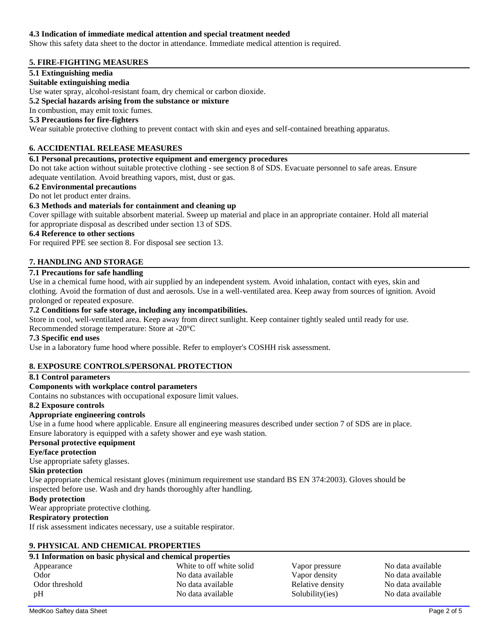### **4.3 Indication of immediate medical attention and special treatment needed**

Show this safety data sheet to the doctor in attendance. Immediate medical attention is required.

# **5. FIRE-FIGHTING MEASURES**

### **5.1 Extinguishing media**

### **Suitable extinguishing media**

Use water spray, alcohol-resistant foam, dry chemical or carbon dioxide.

### **5.2 Special hazards arising from the substance or mixture**

In combustion, may emit toxic fumes.

### **5.3 Precautions for fire-fighters**

Wear suitable protective clothing to prevent contact with skin and eyes and self-contained breathing apparatus.

## **6. ACCIDENTIAL RELEASE MEASURES**

### **6.1 Personal precautions, protective equipment and emergency procedures**

Do not take action without suitable protective clothing - see section 8 of SDS. Evacuate personnel to safe areas. Ensure adequate ventilation. Avoid breathing vapors, mist, dust or gas.

### **6.2 Environmental precautions**

#### Do not let product enter drains.

### **6.3 Methods and materials for containment and cleaning up**

Cover spillage with suitable absorbent material. Sweep up material and place in an appropriate container. Hold all material for appropriate disposal as described under section 13 of SDS.

### **6.4 Reference to other sections**

For required PPE see section 8. For disposal see section 13.

### **7. HANDLING AND STORAGE**

### **7.1 Precautions for safe handling**

Use in a chemical fume hood, with air supplied by an independent system. Avoid inhalation, contact with eyes, skin and clothing. Avoid the formation of dust and aerosols. Use in a well-ventilated area. Keep away from sources of ignition. Avoid prolonged or repeated exposure.

## **7.2 Conditions for safe storage, including any incompatibilities.**

Store in cool, well-ventilated area. Keep away from direct sunlight. Keep container tightly sealed until ready for use. Recommended storage temperature: Store at -20°C

### **7.3 Specific end uses**

Use in a laboratory fume hood where possible. Refer to employer's COSHH risk assessment.

## **8. EXPOSURE CONTROLS/PERSONAL PROTECTION**

### **8.1 Control parameters**

### **Components with workplace control parameters**

Contains no substances with occupational exposure limit values.

#### **8.2 Exposure controls**

### **Appropriate engineering controls**

Use in a fume hood where applicable. Ensure all engineering measures described under section 7 of SDS are in place. Ensure laboratory is equipped with a safety shower and eye wash station.

### **Personal protective equipment**

### **Eye/face protection**

Use appropriate safety glasses.

### **Skin protection**

Use appropriate chemical resistant gloves (minimum requirement use standard BS EN 374:2003). Gloves should be inspected before use. Wash and dry hands thoroughly after handling.

### **Body protection**

Wear appropriate protective clothing.

### **Respiratory protection**

If risk assessment indicates necessary, use a suitable respirator.

### **9. PHYSICAL AND CHEMICAL PROPERTIES**

## **9.1 Information on basic physical and chemical properties**

| Appearance     | White to off white solid | Vapor pressure   | No data available |
|----------------|--------------------------|------------------|-------------------|
| Odor           | No data available        | Vapor density    | No data available |
| Odor threshold | No data available        | Relative density | No data available |
| pH             | No data available        | Solubility(ies)  | No data available |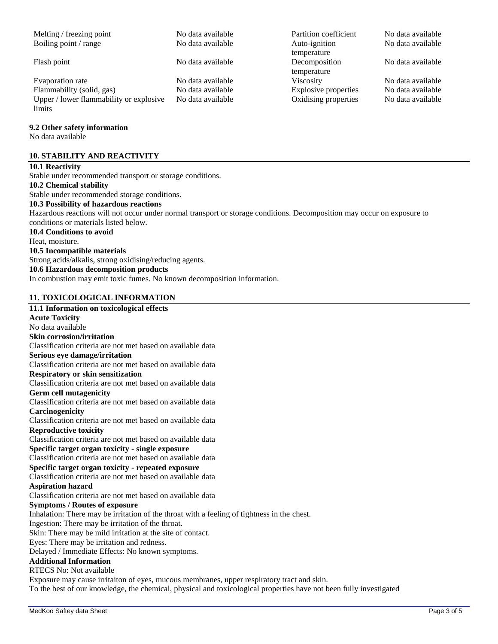Boiling point / range No data available Auto-ignition

Evaporation rate **No data available** No data available Viscosity No data available No data available Flammability (solid, gas) No data available Explosive properties No data available Upper / lower flammability or explosive limits

### **9.2 Other safety information**

No data available

### **10. STABILITY AND REACTIVITY**

### **10.1 Reactivity**

Stable under recommended transport or storage conditions. **10.2 Chemical stability** Stable under recommended storage conditions. **10.3 Possibility of hazardous reactions** Hazardous reactions will not occur under normal transport or storage conditions. Decomposition may occur on exposure to conditions or materials listed below. **10.4 Conditions to avoid** Heat, moisture. **10.5 Incompatible materials** Strong acids/alkalis, strong oxidising/reducing agents. **10.6 Hazardous decomposition products** In combustion may emit toxic fumes. No known decomposition information.

# **11. TOXICOLOGICAL INFORMATION**

## **11.1 Information on toxicological effects Acute Toxicity** No data available **Skin corrosion/irritation** Classification criteria are not met based on available data **Serious eye damage/irritation** Classification criteria are not met based on available data **Respiratory or skin sensitization** Classification criteria are not met based on available data **Germ cell mutagenicity** Classification criteria are not met based on available data **Carcinogenicity** Classification criteria are not met based on available data **Reproductive toxicity** Classification criteria are not met based on available data **Specific target organ toxicity - single exposure** Classification criteria are not met based on available data **Specific target organ toxicity - repeated exposure** Classification criteria are not met based on available data **Aspiration hazard** Classification criteria are not met based on available data **Symptoms / Routes of exposure** Inhalation: There may be irritation of the throat with a feeling of tightness in the chest. Ingestion: There may be irritation of the throat. Skin: There may be mild irritation at the site of contact. Eyes: There may be irritation and redness. Delayed / Immediate Effects: No known symptoms. **Additional Information** RTECS No: Not available Exposure may cause irritaiton of eyes, mucous membranes, upper respiratory tract and skin.

To the best of our knowledge, the chemical, physical and toxicological properties have not been fully investigated

Melting / freezing point No data available Partition coefficient No data available temperature Flash point No data available Decomposition temperature No data available  $Oxidising properties$  No data available

No data available

No data available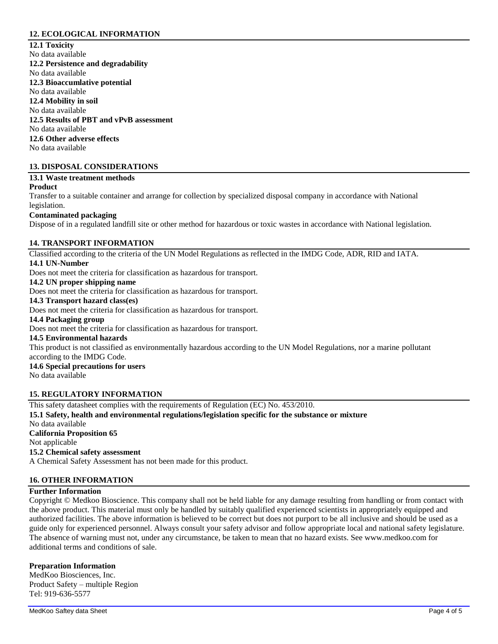# **12. ECOLOGICAL INFORMATION**

**12.1 Toxicity** No data available **12.2 Persistence and degradability** No data available **12.3 Bioaccumlative potential** No data available **12.4 Mobility in soil** No data available **12.5 Results of PBT and vPvB assessment** No data available **12.6 Other adverse effects** No data available

## **13. DISPOSAL CONSIDERATIONS**

# **13.1 Waste treatment methods**

### **Product**

Transfer to a suitable container and arrange for collection by specialized disposal company in accordance with National legislation.

## **Contaminated packaging**

Dispose of in a regulated landfill site or other method for hazardous or toxic wastes in accordance with National legislation.

### **14. TRANSPORT INFORMATION**

Classified according to the criteria of the UN Model Regulations as reflected in the IMDG Code, ADR, RID and IATA. **14.1 UN-Number**

Does not meet the criteria for classification as hazardous for transport.

## **14.2 UN proper shipping name**

Does not meet the criteria for classification as hazardous for transport.

### **14.3 Transport hazard class(es)**

Does not meet the criteria for classification as hazardous for transport.

#### **14.4 Packaging group**

Does not meet the criteria for classification as hazardous for transport.

#### **14.5 Environmental hazards**

This product is not classified as environmentally hazardous according to the UN Model Regulations, nor a marine pollutant according to the IMDG Code.

# **14.6 Special precautions for users**

No data available

### **15. REGULATORY INFORMATION**

This safety datasheet complies with the requirements of Regulation (EC) No. 453/2010. **15.1 Safety, health and environmental regulations/legislation specific for the substance or mixture** No data available **California Proposition 65** Not applicable **15.2 Chemical safety assessment** A Chemical Safety Assessment has not been made for this product.

### **16. OTHER INFORMATION**

### **Further Information**

Copyright © Medkoo Bioscience. This company shall not be held liable for any damage resulting from handling or from contact with the above product. This material must only be handled by suitably qualified experienced scientists in appropriately equipped and authorized facilities. The above information is believed to be correct but does not purport to be all inclusive and should be used as a guide only for experienced personnel. Always consult your safety advisor and follow appropriate local and national safety legislature. The absence of warning must not, under any circumstance, be taken to mean that no hazard exists. See www.medkoo.com for additional terms and conditions of sale.

## **Preparation Information**

MedKoo Biosciences, Inc. Product Safety – multiple Region Tel: 919-636-5577